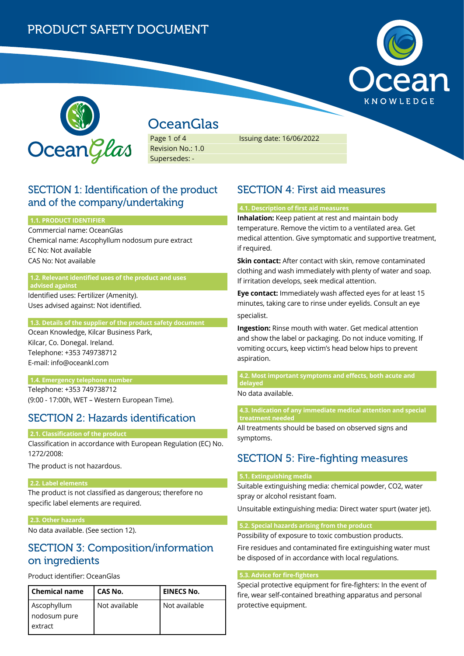



# **OceanGlas**

Page 1 of 4 Revision No.: 1.0 Supersedes: -

Issuing date: 16/06/2022

### SECTION 1: Identification of the product and of the company/undertaking

### **1.1. PRODUCT IDENTIFIER**

Commercial name: OceanGlas Chemical name: Ascophyllum nodosum pure extract EC No: Not available CAS No: Not available

#### **1.2. Relevant identified uses of the product and uses advised against**

Identified uses: Fertilizer (Amenity). Uses advised against: Not identified.

### **1.3. Details of the supplier of the product safety document**

Ocean Knowledge, Kilcar Business Park, Kilcar, Co. Donegal. Ireland. Telephone: +353 749738712 E-mail: info@oceankl.com

### **1.4. Emergency telephone number**

Telephone: +353 749738712 (9:00 - 17:00h, WET – Western European Time).

## SECTION 2: Hazards identification

### **2.1. Classification of the product**

Classification in accordance with European Regulation (EC) No. 1272/2008:

The product is not hazardous.

### **2.2. Label elements**

The product is not classified as dangerous; therefore no specific label elements are required.

### **2.3. Other hazards**

No data available. (See section 12).

## SECTION 3: Composition/information on ingredients

### Product identifier: OceanGlas

| <b>Chemical name</b>                   | CAS No.       | <b>EINECS No.</b> |
|----------------------------------------|---------------|-------------------|
| Ascophyllum<br>nodosum pure<br>extract | Not available | Not available     |
|                                        |               |                   |

## SECTION 4: First aid measures

### **4.1. Description of first aid measures**

**Inhalation:** Keep patient at rest and maintain body temperature. Remove the victim to a ventilated area. Get medical attention. Give symptomatic and supportive treatment, if required.

**Skin contact:** After contact with skin, remove contaminated clothing and wash immediately with plenty of water and soap. If irritation develops, seek medical attention.

**Eye contact:** Immediately wash affected eyes for at least 15 minutes, taking care to rinse under eyelids. Consult an eye specialist.

**Ingestion:** Rinse mouth with water. Get medical attention and show the label or packaging. Do not induce vomiting. If vomiting occurs, keep victim's head below hips to prevent aspiration.

**4.2. Most important symptoms and effects, both acute and delayed**

No data available.

**4.3. Indication of any immediate medical attention and special treatment needed**

All treatments should be based on observed signs and symptoms.

## SECTION 5: Fire-fighting measures

### **5.1. Extinguishing media**

Suitable extinguishing media: chemical powder, CO2, water spray or alcohol resistant foam.

Unsuitable extinguishing media: Direct water spurt (water jet).

### **5.2. Special hazards arising from the product**

Possibility of exposure to toxic combustion products.

Fire residues and contaminated fire extinguishing water must be disposed of in accordance with local regulations.

### **5.3. Advice for fire-fighters**

Special protective equipment for fire-fighters: In the event of fire, wear self-contained breathing apparatus and personal protective equipment.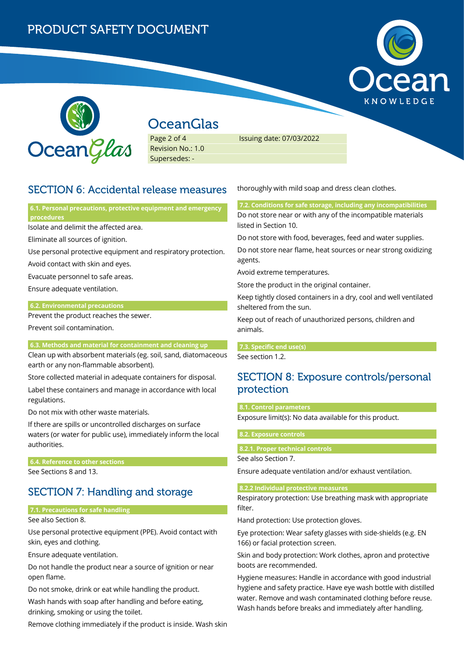## PRODUCT SAFETY DOCUMENT





## **OceanGlas**

Page 2 of 4 Revision No.: 1.0 Supersedes: -

Issuing date: 07/03/2022

## SECTION 6: Accidental release measures

**6.1. Personal precautions, protective equipment and emergency procedures**

Isolate and delimit the affected area.

Eliminate all sources of ignition.

Use personal protective equipment and respiratory protection.

Avoid contact with skin and eyes.

Evacuate personnel to safe areas.

Ensure adequate ventilation.

### **6.2. Environmental precautions**

Prevent the product reaches the sewer.

Prevent soil contamination.

### **6.3. Methods and material for containment and cleaning up**

Clean up with absorbent materials (eg. soil, sand, diatomaceous earth or any non-flammable absorbent).

Store collected material in adequate containers for disposal.

Label these containers and manage in accordance with local regulations.

Do not mix with other waste materials.

If there are spills or uncontrolled discharges on surface waters (or water for public use), immediately inform the local authorities.

**6.4. Reference to other sections**

See Sections 8 and 13.

## SECTION 7: Handling and storage

### **7.1. Precautions for safe handling**

See also Section 8.

Use personal protective equipment (PPE). Avoid contact with skin, eyes and clothing.

Ensure adequate ventilation.

Do not handle the product near a source of ignition or near open flame.

Do not smoke, drink or eat while handling the product.

Wash hands with soap after handling and before eating, drinking, smoking or using the toilet.

Remove clothing immediately if the product is inside. Wash skin

thoroughly with mild soap and dress clean clothes.

**7.2. Conditions for safe storage, including any incompatibilities** Do not store near or with any of the incompatible materials listed in Section 10.

Do not store with food, beverages, feed and water supplies.

Do not store near flame, heat sources or near strong oxidizing agents.

Avoid extreme temperatures.

Store the product in the original container.

Keep tightly closed containers in a dry, cool and well ventilated sheltered from the sun.

Keep out of reach of unauthorized persons, children and animals.

### **7.3. Specific end use(s)**

See section 1.2.

## SECTION 8: Exposure controls/personal protection

### **8.1. Control parameters**

Exposure limit(s): No data available for this product.

### **8.2. Exposure controls**

### **8.2.1. Proper technical controls**

See also Section 7.

Ensure adequate ventilation and/or exhaust ventilation.

### **8.2.2 Individual protective measures**

Respiratory protection: Use breathing mask with appropriate filter.

Hand protection: Use protection gloves.

Eye protection: Wear safety glasses with side-shields (e.g. EN 166) or facial protection screen.

Skin and body protection: Work clothes, apron and protective boots are recommended.

Hygiene measures: Handle in accordance with good industrial hygiene and safety practice. Have eye wash bottle with distilled water. Remove and wash contaminated clothing before reuse. Wash hands before breaks and immediately after handling.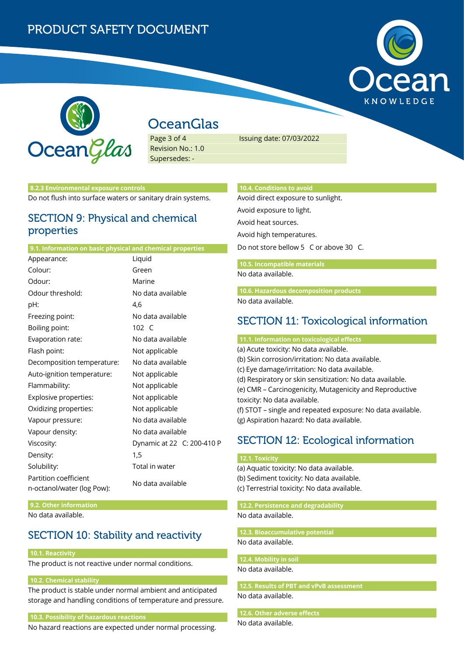# PRODUCT SAFETY DOCUMENT





# **OceanGlas**

Page 3 of 4 Revision No.: 1.0 Supersedes: -

Issuing date: 07/03/2022

### **8.2.3 Environmental exposure controls**

Do not flush into surface waters or sanitary drain systems.

### SECTION 9: Physical and chemical properties

#### **9.1. Information on basic physical and chemical properties**

| Appearance:                                         | Liquid                     |  |
|-----------------------------------------------------|----------------------------|--|
| Colour:                                             | Green                      |  |
| Odour:                                              | Marine                     |  |
| Odour threshold:                                    | No data available          |  |
| pH:                                                 | 4,6                        |  |
| Freezing point:                                     | No data available          |  |
| Boiling point:                                      | 102 C                      |  |
| Evaporation rate:                                   | No data available          |  |
| Flash point:                                        | Not applicable             |  |
| Decomposition temperature:                          | No data available          |  |
| Auto-ignition temperature:                          | Not applicable             |  |
| Flammability:                                       | Not applicable             |  |
| Explosive properties:                               | Not applicable             |  |
| Oxidizing properties:                               | Not applicable             |  |
| Vapour pressure:                                    | No data available          |  |
| Vapour density:                                     | No data available          |  |
| Viscosity:                                          | Dynamic at 22 C: 200-410 P |  |
| Density:                                            | 1,5                        |  |
| Solubility:                                         | Total in water             |  |
| Partition coefficient<br>n-octanol/water (log Pow): | No data available          |  |

**9.2. Other information** No data available.

## SECTION 10: Stability and reactivity

### **10.1. Reactivity**

The product is not reactive under normal conditions.

### **10.2. Chemical stability**

The product is stable under normal ambient and anticipated storage and handling conditions of temperature and pressure.

### **10.3. Possibility of hazardous reactions**

No hazard reactions are expected under normal processing.

### **10.4. Conditions to avoid**

Avoid direct exposure to sunlight. Avoid exposure to light. Avoid heat sources.

Avoid high temperatures.

Do not store bellow 5 C or above 30 C.

### **10.5. Incompatible materials**

No data available.

**10.6. Hazardous decomposition products**

No data available.

### SECTION 11: Toxicological information

**11.1. Information on toxicological effects** (a) Acute toxicity: No data available. (b) Skin corrosion/irritation: No data available. (c) Eye damage/irritation: No data available. (d) Respiratory or skin sensitization: No data available. (e) CMR – Carcinogenicity, Mutagenicity and Reproductive toxicity: No data available. (f) STOT – single and repeated exposure: No data available. (g) Aspiration hazard: No data available.

## SECTION 12: Ecological information

### **12.1. Toxicity**

(a) Aquatic toxicity: No data available. (b) Sediment toxicity: No data available. (c) Terrestrial toxicity: No data available.

**12.2. Persistence and degradability** No data available.

**12.3. Bioaccumulative potential** No data available.

**12.4. Mobility in soil**

No data available.

**12.5. Results of PBT and vPvB assessment** No data available.

### **12.6. Other adverse effects**

No data available.